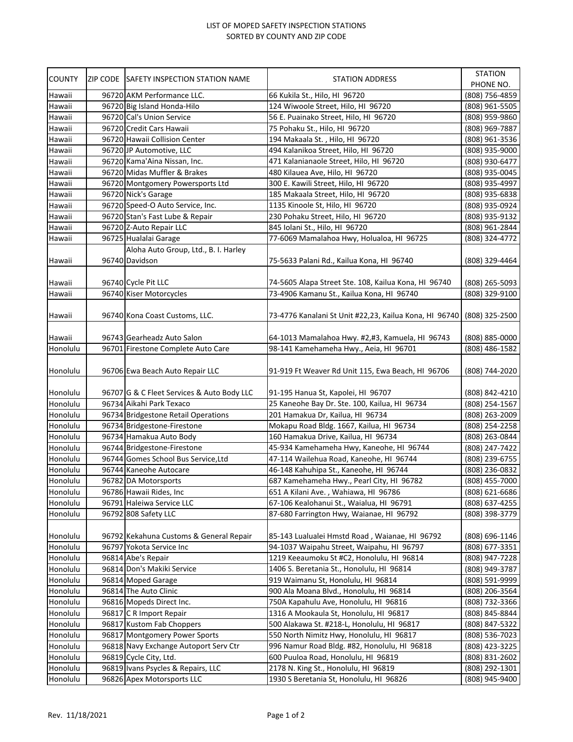## LIST OF MOPED SAFETY INSPECTION STATIONS SORTED BY COUNTY AND ZIP CODE

| <b>COUNTY</b> | ZIP CODE SAFETY INSPECTION STATION NAME    | STATION ADDRESS                                                       | <b>STATION</b><br>PHONE NO. |
|---------------|--------------------------------------------|-----------------------------------------------------------------------|-----------------------------|
| Hawaii        | 96720 AKM Performance LLC.                 | 66 Kukila St., Hilo, HI 96720                                         | (808) 756-4859              |
| Hawaii        | 96720 Big Island Honda-Hilo                | 124 Wiwoole Street, Hilo, HI 96720                                    | (808) 961-5505              |
| Hawaii        | 96720 Cal's Union Service                  | 56 E. Puainako Street, Hilo, HI 96720                                 | (808) 959-9860              |
| Hawaii        | 96720 Credit Cars Hawaii                   | 75 Pohaku St., Hilo, HI 96720                                         | (808) 969-7887              |
| Hawaii        | 96720 Hawaii Collision Center              | 194 Makaala St., Hilo, HI 96720                                       | (808) 961-3536              |
| Hawaii        | 96720 JP Automotive, LLC                   | 494 Kalanikoa Street, Hilo, HI 96720                                  | (808) 935-9000              |
| Hawaii        | 96720 Kama'Aina Nissan, Inc.               | 471 Kalanianaole Street, Hilo, HI 96720                               | (808) 930-6477              |
| Hawaii        | 96720 Midas Muffler & Brakes               | 480 Kilauea Ave, Hilo, HI 96720                                       | (808) 935-0045              |
| Hawaii        | 96720 Montgomery Powersports Ltd           | 300 E. Kawili Street, Hilo, HI 96720                                  | (808) 935-4997              |
| Hawaii        | 96720 Nick's Garage                        | 185 Makaala Street, Hilo, HI 96720                                    | (808) 935-6838              |
| Hawaii        | 96720 Speed-O Auto Service, Inc.           | 1135 Kinoole St, Hilo, HI 96720                                       | (808) 935-0924              |
| Hawaii        | 96720 Stan's Fast Lube & Repair            | 230 Pohaku Street, Hilo, HI 96720                                     | (808) 935-9132              |
| Hawaii        | 96720 Z-Auto Repair LLC                    | 845 Iolani St., Hilo, HI 96720                                        | (808) 961-2844              |
| Hawaii        | 96725 Hualalai Garage                      | 77-6069 Mamalahoa Hwy, Holualoa, HI 96725                             | (808) 324-4772              |
|               | Aloha Auto Group, Ltd., B. I. Harley       |                                                                       |                             |
| Hawaii        | 96740 Davidson                             | 75-5633 Palani Rd., Kailua Kona, HI 96740                             | (808) 329-4464              |
|               |                                            |                                                                       |                             |
| Hawaii        | 96740 Cycle Pit LLC                        | 74-5605 Alapa Street Ste. 108, Kailua Kona, HI 96740                  | (808) 265-5093              |
| Hawaii        | 96740 Kiser Motorcycles                    | 73-4906 Kamanu St., Kailua Kona, HI 96740                             | (808) 329-9100              |
|               |                                            |                                                                       |                             |
| Hawaii        | 96740 Kona Coast Customs, LLC.             | 73-4776 Kanalani St Unit #22,23, Kailua Kona, HI 96740 (808) 325-2500 |                             |
|               |                                            |                                                                       |                             |
| Hawaii        | 96743 Gearheadz Auto Salon                 | 64-1013 Mamalahoa Hwy. #2,#3, Kamuela, HI 96743                       | (808) 885-0000              |
| Honolulu      | 96701 Firestone Complete Auto Care         | 98-141 Kamehameha Hwy., Aeia, HI 96701                                | (808) 486-1582              |
|               |                                            |                                                                       |                             |
| Honolulu      | 96706 Ewa Beach Auto Repair LLC            | 91-919 Ft Weaver Rd Unit 115, Ewa Beach, HI 96706                     | (808) 744-2020              |
| Honolulu      | 96707 G & C Fleet Services & Auto Body LLC | 91-195 Hanua St, Kapolei, HI 96707                                    | (808) 842-4210              |
| Honolulu      | 96734 Aikahi Park Texaco                   | 25 Kaneohe Bay Dr. Ste. 100, Kailua, HI 96734                         | (808) 254-1567              |
| Honolulu      | 96734 Bridgestone Retail Operations        | 201 Hamakua Dr, Kailua, HI 96734                                      | (808) 263-2009              |
| Honolulu      | 96734 Bridgestone-Firestone                | Mokapu Road Bldg. 1667, Kailua, HI 96734                              | (808) 254-2258              |
| Honolulu      | 96734 Hamakua Auto Body                    | 160 Hamakua Drive, Kailua, HI 96734                                   | (808) 263-0844              |
| Honolulu      | 96744 Bridgestone-Firestone                | 45-934 Kamehameha Hwy, Kaneohe, HI 96744                              | (808) 247-7422              |
| Honolulu      | 96744 Gomes School Bus Service, Ltd        | 47-114 Wailehua Road, Kaneohe, HI 96744                               | (808) 239-6755              |
| Honolulu      | 96744 Kaneohe Autocare                     | 46-148 Kahuhipa St., Kaneohe, HI 96744                                | (808) 236-0832              |
| Honolulu      | 96782 DA Motorsports                       | 687 Kamehameha Hwy., Pearl City, HI 96782                             | (808) 455-7000              |
| Honolulu      | 96786 Hawaii Rides, Inc                    | 651 A Kilani Ave., Wahiawa, HI 96786                                  | (808) 621-6686              |
| Honolulu      | 96791 Haleiwa Service LLC                  | 67-106 Kealohanui St., Waialua, HI 96791                              | (808) 637-4255              |
| Honolulu      | 96792 808 Safety LLC                       | 87-680 Farrington Hwy, Waianae, HI 96792                              | (808) 398-3779              |
|               |                                            |                                                                       |                             |
| Honolulu      | 96792 Kekahuna Customs & General Repair    | 85-143 Lualualei Hmstd Road, Waianae, HI 96792                        | (808) 696-1146              |
| Honolulu      | 96797 Yokota Service Inc                   | 94-1037 Waipahu Street, Waipahu, HI 96797                             | (808) 677-3351              |
| Honolulu      | 96814 Abe's Repair                         | 1219 Keeaumoku St #C2, Honolulu, HI 96814                             | (808) 947-7228              |
| Honolulu      | 96814 Don's Makiki Service                 |                                                                       |                             |
|               |                                            | 1406 S. Beretania St., Honolulu, HI 96814                             | (808) 949-3787              |
| Honolulu      | 96814 Moped Garage                         | 919 Waimanu St, Honolulu, HI 96814                                    | (808) 591-9999              |
| Honolulu      | 96814 The Auto Clinic                      | 900 Ala Moana Blvd., Honolulu, HI 96814                               | (808) 206-3564              |
| Honolulu      | 96816 Mopeds Direct Inc.                   | 750A Kapahulu Ave, Honolulu, HI 96816                                 | (808) 732-3366              |
| Honolulu      | 96817 C R Import Repair                    | 1316 A Mookaula St, Honolulu, HI 96817                                | (808) 845-8844              |
| Honolulu      | 96817 Kustom Fab Choppers                  | 500 Alakawa St. #218-L, Honolulu, HI 96817                            | (808) 847-5322              |
| Honolulu      | 96817 Montgomery Power Sports              | 550 North Nimitz Hwy, Honolulu, HI 96817                              | (808) 536-7023              |
| Honolulu      | 96818 Navy Exchange Autoport Serv Ctr      | 996 Namur Road Bldg. #82, Honolulu, HI 96818                          | (808) 423-3225              |
| Honolulu      | 96819 Cycle City, Ltd.                     | 600 Puuloa Road, Honolulu, HI 96819                                   | (808) 831-2602              |
| Honolulu      | 96819 Ivans Psycles & Repairs, LLC         | 2178 N. King St., Honolulu, HI 96819                                  | (808) 292-1301              |
| Honolulu      | 96826 Apex Motorsports LLC                 | 1930 S Beretania St, Honolulu, HI 96826                               | (808) 945-9400              |